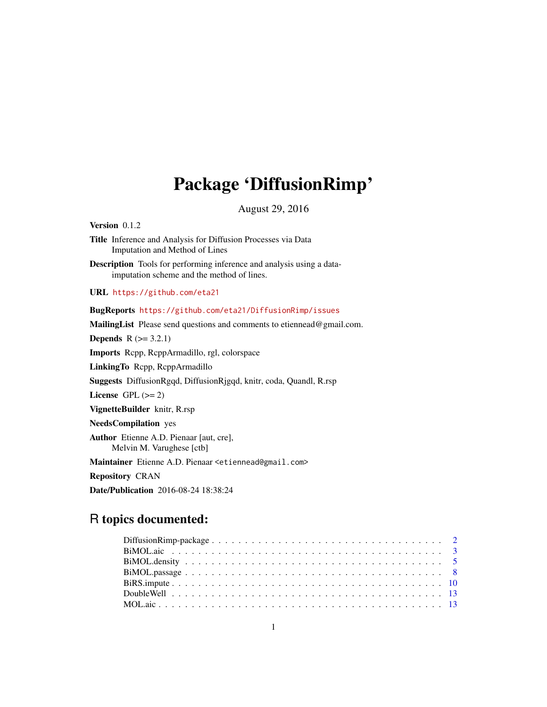## Package 'DiffusionRimp'

August 29, 2016

Version 0.1.2

Title Inference and Analysis for Diffusion Processes via Data Imputation and Method of Lines

Description Tools for performing inference and analysis using a dataimputation scheme and the method of lines.

URL <https://github.com/eta21>

## BugReports <https://github.com/eta21/DiffusionRimp/issues>

MailingList Please send questions and comments to etiennead@gmail.com. **Depends**  $R$  ( $>= 3.2.1$ ) Imports Rcpp, RcppArmadillo, rgl, colorspace LinkingTo Rcpp, RcppArmadillo Suggests DiffusionRgqd, DiffusionRjgqd, knitr, coda, Quandl, R.rsp

License GPL  $(>= 2)$ 

VignetteBuilder knitr, R.rsp

NeedsCompilation yes

Author Etienne A.D. Pienaar [aut, cre], Melvin M. Varughese [ctb]

Maintainer Etienne A.D. Pienaar <etiennead@gmail.com>

Repository CRAN

Date/Publication 2016-08-24 18:38:24

## R topics documented: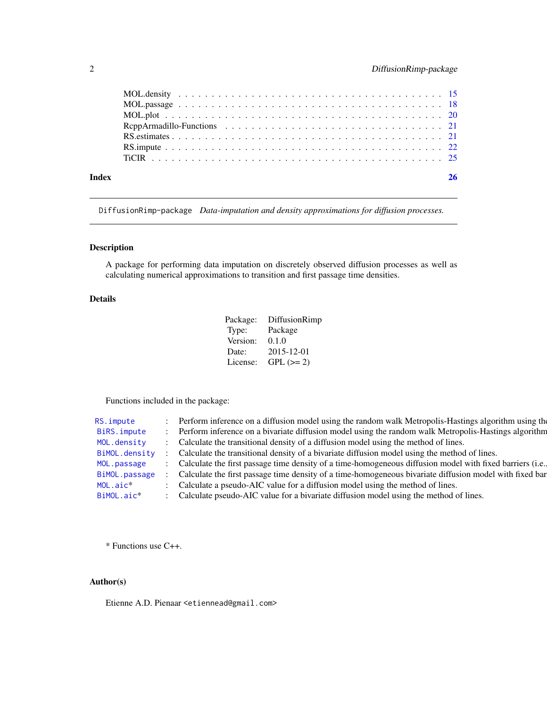<span id="page-1-0"></span>

| Index | 26 |
|-------|----|
|       |    |
|       |    |
|       |    |
|       |    |
|       |    |
|       |    |
|       |    |

DiffusionRimp-package *Data-imputation and density approximations for diffusion processes.*

## Description

A package for performing data imputation on discretely observed diffusion processes as well as calculating numerical approximations to transition and first passage time densities.

## Details

| Package: | DiffusionRimp |
|----------|---------------|
| Type:    | Package       |
| Version: | 0.1.0         |
| Date:    | 2015-12-01    |
| License: | $GPL (=2)$    |

Functions included in the package:

| RS.impute     | Perform inference on a diffusion model using the random walk Metropolis-Hastings algorithm using the      |
|---------------|-----------------------------------------------------------------------------------------------------------|
| BiRS. impute  | Perform inference on a bivariate diffusion model using the random walk Metropolis-Hastings algorithm      |
| MOL.density   | Calculate the transitional density of a diffusion model using the method of lines.                        |
| BiMOL.density | Calculate the transitional density of a bivariate diffusion model using the method of lines.              |
| MOL.passage   | Calculate the first passage time density of a time-homogeneous diffusion model with fixed barriers (i.e., |
| BiMOL.passage | Calculate the first passage time density of a time-homogeneous bivariate diffusion model with fixed bar   |
| $MOL.aic*$    | Calculate a pseudo-AIC value for a diffusion model using the method of lines.                             |
| BiMOL.aic*    | Calculate pseudo-AIC value for a bivariate diffusion model using the method of lines.                     |
|               |                                                                                                           |

\* Functions use C++.

## Author(s)

Etienne A.D. Pienaar <etiennead@gmail.com>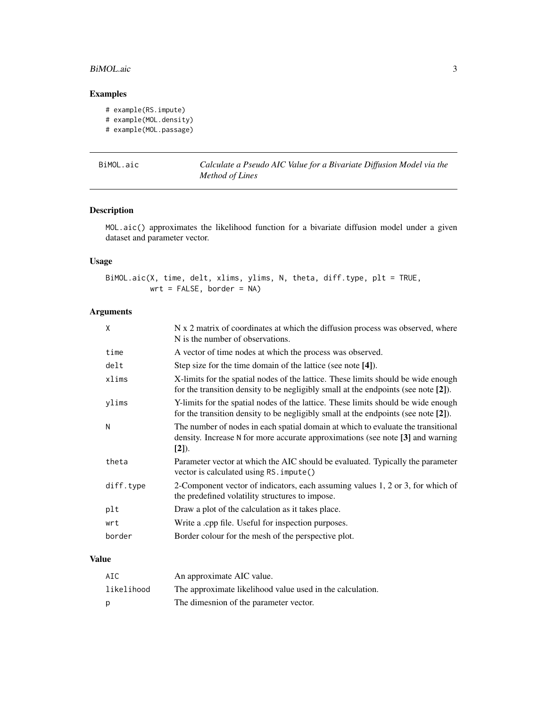#### <span id="page-2-0"></span>BiMOL.aic 3

## Examples

```
# example(RS.impute)
# example(MOL.density)
# example(MOL.passage)
```
<span id="page-2-1"></span>

| BiMOL.aic |  |
|-----------|--|
|           |  |

Calculate a Pseudo AIC Value for a Bivariate Diffusion Model via the *Method of Lines*

## Description

MOL.aic() approximates the likelihood function for a bivariate diffusion model under a given dataset and parameter vector.

## Usage

BiMOL.aic(X, time, delt, xlims, ylims, N, theta, diff.type, plt = TRUE, wrt = FALSE, border = NA)

## Arguments

| X         | N x 2 matrix of coordinates at which the diffusion process was observed, where<br>N is the number of observations.                                                             |
|-----------|--------------------------------------------------------------------------------------------------------------------------------------------------------------------------------|
| time      | A vector of time nodes at which the process was observed.                                                                                                                      |
| delt      | Step size for the time domain of the lattice (see note [4]).                                                                                                                   |
| xlims     | X-limits for the spatial nodes of the lattice. These limits should be wide enough<br>for the transition density to be negligibly small at the endpoints (see note [2]).        |
| ylims     | Y-limits for the spatial nodes of the lattice. These limits should be wide enough<br>for the transition density to be negligibly small at the endpoints (see note [2]).        |
| N         | The number of nodes in each spatial domain at which to evaluate the transitional<br>density. Increase N for more accurate approximations (see note [3] and warning<br>$[2]$ ). |
| theta     | Parameter vector at which the AIC should be evaluated. Typically the parameter<br>vector is calculated using RS. impute()                                                      |
| diff.type | 2-Component vector of indicators, each assuming values 1, 2 or 3, for which of<br>the predefined volatility structures to impose.                                              |
| plt       | Draw a plot of the calculation as it takes place.                                                                                                                              |
| wrt       | Write a .cpp file. Useful for inspection purposes.                                                                                                                             |
| border    | Border colour for the mesh of the perspective plot.                                                                                                                            |
|           |                                                                                                                                                                                |

## Value

| AIC        | An approximate AIC value.                                 |
|------------|-----------------------------------------------------------|
| likelihood | The approximate likelihood value used in the calculation. |
| D          | The dimesnion of the parameter vector.                    |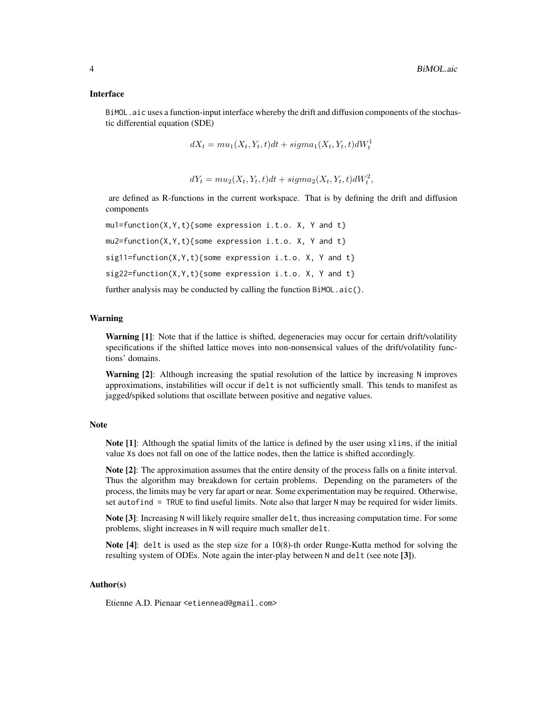#### Interface

BiMOL.aic uses a function-input interface whereby the drift and diffusion components of the stochastic differential equation (SDE)

$$
dX_t = mu_1(X_t, Y_t, t)dt + sigma_1(X_t, Y_t, t)dW_t^1
$$

$$
dY_t = mu_2(X_t, Y_t, t)dt + sigma_2(X_t, Y_t, t)dW_t^2,
$$

are defined as R-functions in the current workspace. That is by defining the drift and diffusion components

```
mu1=function(X,Y,t){some expression i.t.o. X, Y and t}
mu2=function(X,Y,t){some expression i.t.o. X, Y and t}
sig11=function(X,Y,t){some expression i.t.o. X, Y and t}
sig22=function(X,Y,t){some expression i.t.o. X, Y and t}
further analysis may be conducted by calling the function BiMOL.aic().
```
#### Warning

Warning [1]: Note that if the lattice is shifted, degeneracies may occur for certain drift/volatility specifications if the shifted lattice moves into non-nonsensical values of the drift/volatility functions' domains.

Warning [2]: Although increasing the spatial resolution of the lattice by increasing N improves approximations, instabilities will occur if delt is not sufficiently small. This tends to manifest as jagged/spiked solutions that oscillate between positive and negative values.

#### Note

Note [1]: Although the spatial limits of the lattice is defined by the user using xlims, if the initial value Xs does not fall on one of the lattice nodes, then the lattice is shifted accordingly.

Note [2]: The approximation assumes that the entire density of the process falls on a finite interval. Thus the algorithm may breakdown for certain problems. Depending on the parameters of the process, the limits may be very far apart or near. Some experimentation may be required. Otherwise, set autofind  $=$  TRUE to find useful limits. Note also that larger N may be required for wider limits.

Note [3]: Increasing N will likely require smaller delt, thus increasing computation time. For some problems, slight increases in N will require much smaller delt.

Note [4]: delt is used as the step size for a 10(8)-th order Runge-Kutta method for solving the resulting system of ODEs. Note again the inter-play between N and delt (see note [3]).

#### Author(s)

Etienne A.D. Pienaar <etiennead@gmail.com>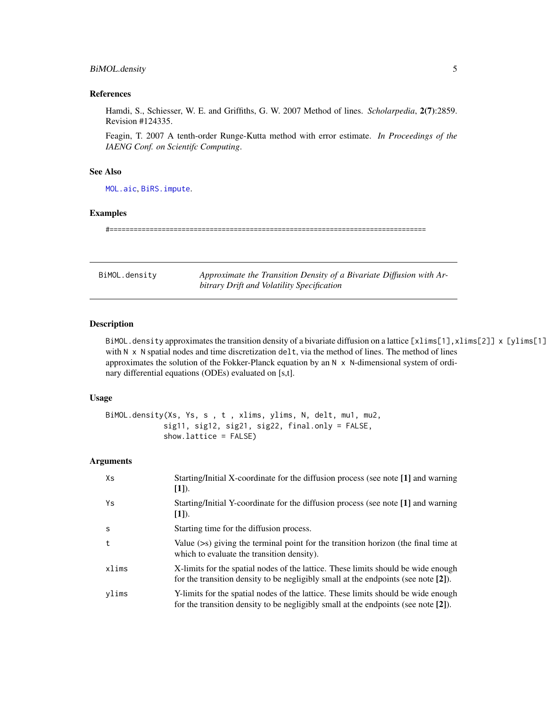## <span id="page-4-0"></span>BiMOL.density 5

#### References

Hamdi, S., Schiesser, W. E. and Griffiths, G. W. 2007 Method of lines. *Scholarpedia*, 2(7):2859. Revision #124335.

Feagin, T. 2007 A tenth-order Runge-Kutta method with error estimate. *In Proceedings of the IAENG Conf. on Scientifc Computing*.

#### See Also

[MOL.aic](#page-12-1), [BiRS.impute](#page-9-1).

#### Examples

#===============================================================================

<span id="page-4-1"></span>BiMOL.density *Approximate the Transition Density of a Bivariate Diffusion with Arbitrary Drift and Volatility Specification*

## Description

BiMOL.density approximates the transition density of a bivariate diffusion on a lattice  $[xlim[1], xlim[2]] \times [ylim[1]]$ with N x N spatial nodes and time discretization delt, via the method of lines. The method of lines approximates the solution of the Fokker-Planck equation by an  $N \times N$ -dimensional system of ordinary differential equations (ODEs) evaluated on [s,t].

#### Usage

```
BiMOL.density(Xs, Ys, s , t , xlims, ylims, N, delt, mu1, mu2,
             sig11, sig12, sig21, sig22, final.only = FALSE,
             show.lattice = FALSE)
```
#### Arguments

| Xs           | Starting/Initial X-coordinate for the diffusion process (see note [1] and warning<br>$[1]$ ).                                                                              |
|--------------|----------------------------------------------------------------------------------------------------------------------------------------------------------------------------|
| Ys           | Starting/Initial Y-coordinate for the diffusion process (see note [1] and warning<br>$[1]$ ).                                                                              |
| <sub>S</sub> | Starting time for the diffusion process.                                                                                                                                   |
| t            | Value $(\geq s)$ giving the terminal point for the transition horizon (the final time at<br>which to evaluate the transition density).                                     |
| xlims        | X-limits for the spatial nodes of the lattice. These limits should be wide enough<br>for the transition density to be negligibly small at the endpoints (see note $[2]$ ). |
| ylims        | Y-limits for the spatial nodes of the lattice. These limits should be wide enough<br>for the transition density to be negligibly small at the endpoints (see note $[2]$ ). |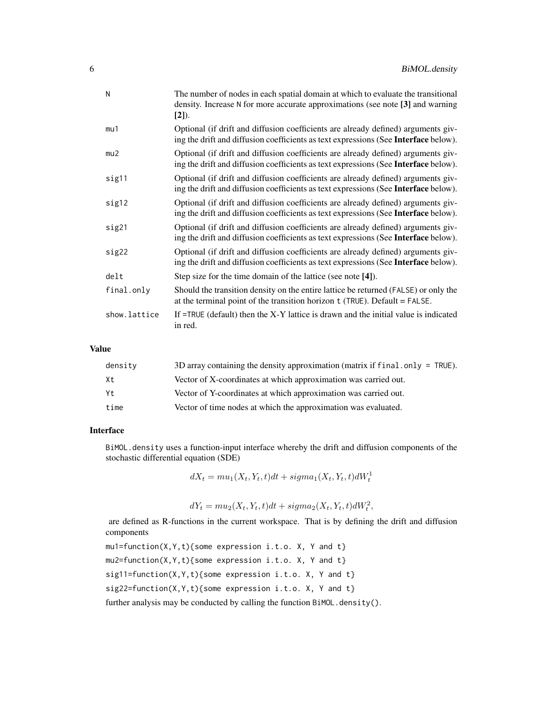| N            | The number of nodes in each spatial domain at which to evaluate the transitional<br>density. Increase N for more accurate approximations (see note [3] and warning<br>$[2]$ ). |
|--------------|--------------------------------------------------------------------------------------------------------------------------------------------------------------------------------|
| mu1          | Optional (if drift and diffusion coefficients are already defined) arguments giv-<br>ing the drift and diffusion coefficients as text expressions (See Interface below).       |
| mu2          | Optional (if drift and diffusion coefficients are already defined) arguments giv-<br>ing the drift and diffusion coefficients as text expressions (See Interface below).       |
| sig11        | Optional (if drift and diffusion coefficients are already defined) arguments giv-<br>ing the drift and diffusion coefficients as text expressions (See Interface below).       |
| sig12        | Optional (if drift and diffusion coefficients are already defined) arguments giv-<br>ing the drift and diffusion coefficients as text expressions (See Interface below).       |
| sig21        | Optional (if drift and diffusion coefficients are already defined) arguments giv-<br>ing the drift and diffusion coefficients as text expressions (See Interface below).       |
| sig22        | Optional (if drift and diffusion coefficients are already defined) arguments giv-<br>ing the drift and diffusion coefficients as text expressions (See Interface below).       |
| delt         | Step size for the time domain of the lattice (see note [4]).                                                                                                                   |
| final.only   | Should the transition density on the entire lattice be returned (FALSE) or only the<br>at the terminal point of the transition horizon $t$ (TRUE). Default = FALSE.            |
| show.lattice | If $=$ TRUE (default) then the X-Y lattice is drawn and the initial value is indicated<br>in red.                                                                              |

#### Value

| density | 3D array containing the density approximation (matrix if f inal. only = TRUE). |
|---------|--------------------------------------------------------------------------------|
| Xt      | Vector of X-coordinates at which approximation was carried out.                |
| Yt      | Vector of Y-coordinates at which approximation was carried out.                |
| time    | Vector of time nodes at which the approximation was evaluated.                 |

#### Interface

BiMOL.density uses a function-input interface whereby the drift and diffusion components of the stochastic differential equation (SDE)

 $dX_t = mu_1(X_t, Y_t, t)dt + sigma_1(X_t, Y_t, t)dW_t^1$ 

$$
dY_t = mu_2(X_t, Y_t, t)dt + sigma_2(X_t, Y_t, t)dW_t^2,
$$

are defined as R-functions in the current workspace. That is by defining the drift and diffusion components

 $mu1=function(X,Y,t)\$  some expression i.t.o. X, Y and t} mu2=function(X,Y,t){some expression i.t.o. X, Y and t} sig11=function(X,Y,t){some expression i.t.o. X, Y and t} sig22=function(X,Y,t){some expression i.t.o. X, Y and t}

further analysis may be conducted by calling the function BiMOL.density().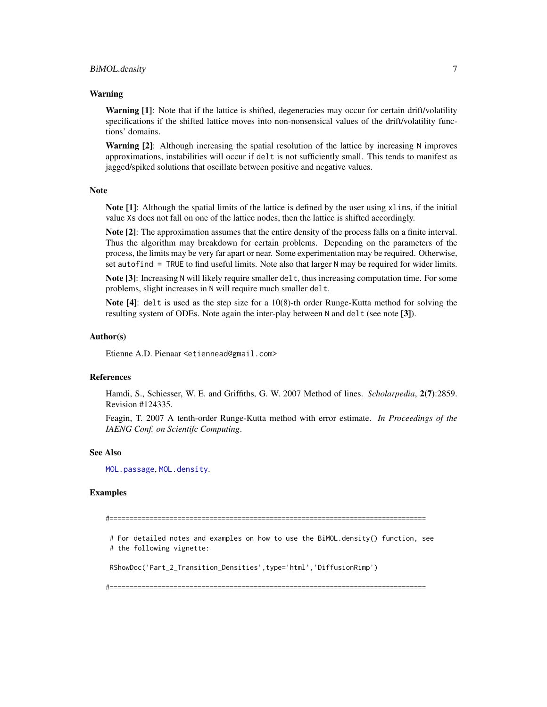#### <span id="page-6-0"></span>Warning

**Warning [1]:** Note that if the lattice is shifted, degeneracies may occur for certain drift/volatility specifications if the shifted lattice moves into non-nonsensical values of the drift/volatility functions' domains.

Warning [2]: Although increasing the spatial resolution of the lattice by increasing N improves approximations, instabilities will occur if delt is not sufficiently small. This tends to manifest as jagged/spiked solutions that oscillate between positive and negative values.

#### **Note**

Note [1]: Although the spatial limits of the lattice is defined by the user using xlims, if the initial value Xs does not fall on one of the lattice nodes, then the lattice is shifted accordingly.

Note [2]: The approximation assumes that the entire density of the process falls on a finite interval. Thus the algorithm may breakdown for certain problems. Depending on the parameters of the process, the limits may be very far apart or near. Some experimentation may be required. Otherwise, set autofind = TRUE to find useful limits. Note also that larger N may be required for wider limits.

Note [3]: Increasing N will likely require smaller delt, thus increasing computation time. For some problems, slight increases in N will require much smaller delt.

Note [4]: delt is used as the step size for a 10(8)-th order Runge-Kutta method for solving the resulting system of ODEs. Note again the inter-play between N and delt (see note [3]).

#### Author(s)

Etienne A.D. Pienaar <etiennead@gmail.com>

## References

Hamdi, S., Schiesser, W. E. and Griffiths, G. W. 2007 Method of lines. *Scholarpedia*, 2(7):2859. Revision #124335.

Feagin, T. 2007 A tenth-order Runge-Kutta method with error estimate. *In Proceedings of the IAENG Conf. on Scientifc Computing*.

#### See Also

[MOL.passage](#page-17-1), [MOL.density](#page-14-1).

#### Examples

#===============================================================================

# For detailed notes and examples on how to use the BiMOL.density() function, see # the following vignette:

RShowDoc('Part\_2\_Transition\_Densities',type='html','DiffusionRimp')

#===============================================================================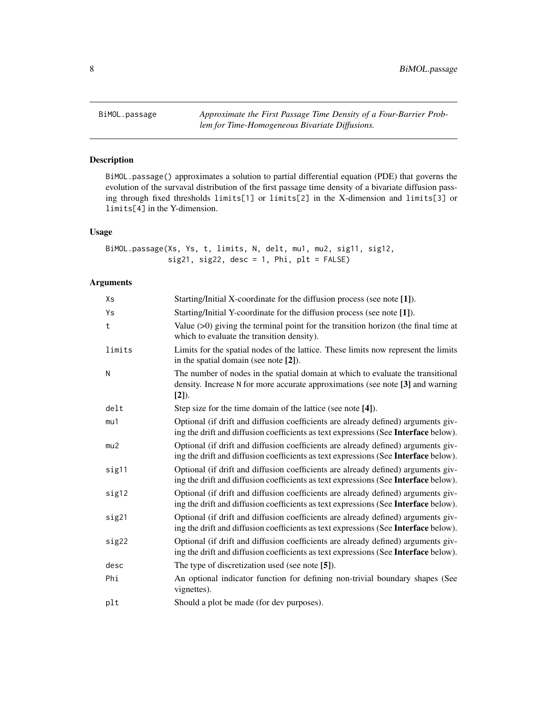<span id="page-7-1"></span><span id="page-7-0"></span>BiMOL.passage *Approximate the First Passage Time Density of a Four-Barrier Problem for Time-Homogeneous Bivariate Diffusions.*

## Description

BiMOL.passage() approximates a solution to partial differential equation (PDE) that governs the evolution of the survaval distribution of the first passage time density of a bivariate diffusion passing through fixed thresholds limits[1] or limits[2] in the X-dimension and limits[3] or limits[4] in the Y-dimension.

#### Usage

```
BiMOL.passage(Xs, Ys, t, limits, N, delt, mu1, mu2, sig11, sig12,
              sig21, sig22, desc = 1, Phi, plt = FALSE)
```
## Arguments

| Xs     | Starting/Initial X-coordinate for the diffusion process (see note [1]).                                                                                                       |
|--------|-------------------------------------------------------------------------------------------------------------------------------------------------------------------------------|
| Ys     | Starting/Initial Y-coordinate for the diffusion process (see note [1]).                                                                                                       |
| t      | Value $(>0)$ giving the terminal point for the transition horizon (the final time at<br>which to evaluate the transition density).                                            |
| limits | Limits for the spatial nodes of the lattice. These limits now represent the limits<br>in the spatial domain (see note [2]).                                                   |
| N      | The number of nodes in the spatial domain at which to evaluate the transitional<br>density. Increase N for more accurate approximations (see note [3] and warning<br>$[2]$ ). |
| delt   | Step size for the time domain of the lattice (see note [4]).                                                                                                                  |
| mu1    | Optional (if drift and diffusion coefficients are already defined) arguments giv-<br>ing the drift and diffusion coefficients as text expressions (See Interface below).      |
| mu2    | Optional (if drift and diffusion coefficients are already defined) arguments giv-<br>ing the drift and diffusion coefficients as text expressions (See Interface below).      |
| sig11  | Optional (if drift and diffusion coefficients are already defined) arguments giv-<br>ing the drift and diffusion coefficients as text expressions (See Interface below).      |
| sig12  | Optional (if drift and diffusion coefficients are already defined) arguments giv-<br>ing the drift and diffusion coefficients as text expressions (See Interface below).      |
| sig21  | Optional (if drift and diffusion coefficients are already defined) arguments giv-<br>ing the drift and diffusion coefficients as text expressions (See Interface below).      |
| sig22  | Optional (if drift and diffusion coefficients are already defined) arguments giv-<br>ing the drift and diffusion coefficients as text expressions (See Interface below).      |
| desc   | The type of discretization used (see note [5]).                                                                                                                               |
| Phi    | An optional indicator function for defining non-trivial boundary shapes (See<br>vignettes).                                                                                   |
| plt    | Should a plot be made (for dev purposes).                                                                                                                                     |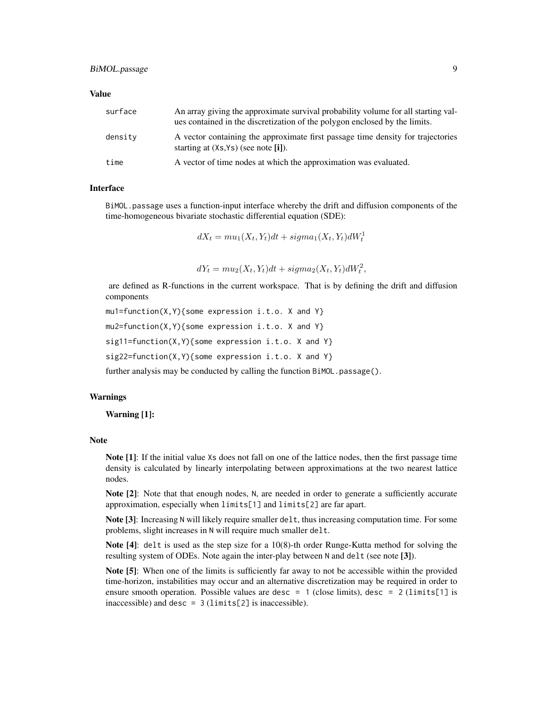#### Value

| surface | An array giving the approximate survival probability volume for all starting val-<br>ues contained in the discretization of the polygon enclosed by the limits. |
|---------|-----------------------------------------------------------------------------------------------------------------------------------------------------------------|
| density | A vector containing the approximate first passage time density for trajectories<br>starting at (Xs, Ys) (see note [i]).                                         |
| time    | A vector of time nodes at which the approximation was evaluated.                                                                                                |

#### Interface

BiMOL.passage uses a function-input interface whereby the drift and diffusion components of the time-homogeneous bivariate stochastic differential equation (SDE):

$$
dX_t = mu_1(X_t, Y_t)dt + sigma_1(X_t, Y_t)dW_t^1
$$

 $dY_t = mu_2(X_t, Y_t)dt + sigma_2(X_t, Y_t)dW_t^2,$ 

are defined as R-functions in the current workspace. That is by defining the drift and diffusion components

```
mu1=function(X,Y){some expression i.t.o. X and Y}
mu2=function(X,Y){some expression i.t.o. X and Y}
sig11=function(X,Y){some expression i.t.o. X and Y}
sig22=function(X,Y){some expression i.t.o. X and Y}
```
further analysis may be conducted by calling the function BiMOL.passage().

## Warnings

Warning [1]:

#### Note

Note [1]: If the initial value Xs does not fall on one of the lattice nodes, then the first passage time density is calculated by linearly interpolating between approximations at the two nearest lattice nodes.

Note [2]: Note that that enough nodes, N, are needed in order to generate a sufficiently accurate approximation, especially when limits[1] and limits[2] are far apart.

Note [3]: Increasing N will likely require smaller delt, thus increasing computation time. For some problems, slight increases in N will require much smaller delt.

Note [4]: delt is used as the step size for a 10(8)-th order Runge-Kutta method for solving the resulting system of ODEs. Note again the inter-play between N and delt (see note [3]).

Note [5]: When one of the limits is sufficiently far away to not be accessible within the provided time-horizon, instabilities may occur and an alternative discretization may be required in order to ensure smooth operation. Possible values are desc = 1 (close limits), desc = 2 ( $\text{limits}[1]$  is inaccessible) and desc =  $3$  (limits[2] is inaccessible).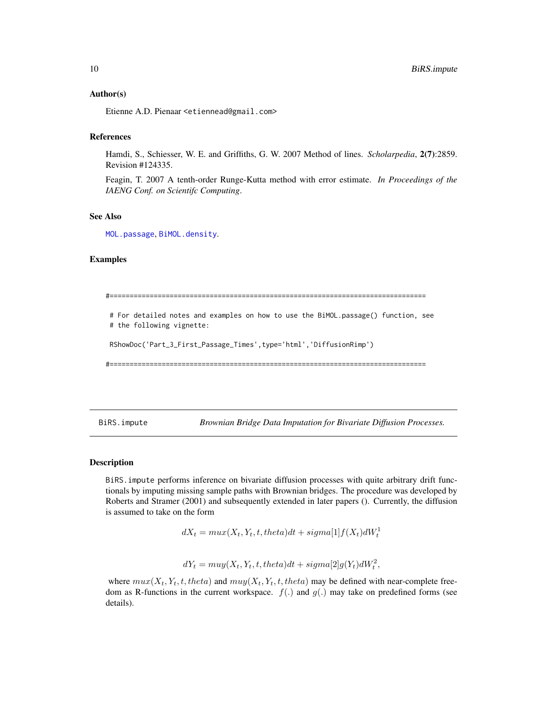#### <span id="page-9-0"></span>Author(s)

Etienne A.D. Pienaar <etiennead@gmail.com>

## References

Hamdi, S., Schiesser, W. E. and Griffiths, G. W. 2007 Method of lines. *Scholarpedia*, 2(7):2859. Revision #124335.

Feagin, T. 2007 A tenth-order Runge-Kutta method with error estimate. *In Proceedings of the IAENG Conf. on Scientifc Computing*.

## See Also

[MOL.passage](#page-17-1), [BiMOL.density](#page-4-1).

## Examples

#=============================================================================== # For detailed notes and examples on how to use the BiMOL.passage() function, see # the following vignette: RShowDoc('Part\_3\_First\_Passage\_Times',type='html','DiffusionRimp') #===============================================================================

<span id="page-9-1"></span>BiRS.impute *Brownian Bridge Data Imputation for Bivariate Diffusion Processes.*

#### **Description**

BiRS.impute performs inference on bivariate diffusion processes with quite arbitrary drift functionals by imputing missing sample paths with Brownian bridges. The procedure was developed by Roberts and Stramer (2001) and subsequently extended in later papers (). Currently, the diffusion is assumed to take on the form

 $dX_t = \max(X_t, Y_t, t, theta)dt + sigma[1]f(X_t)dW_t^1$ 

 $dY_t = muy(X_t, Y_t, t, theta)dt + sigma[2]g(Y_t)dW_t^2,$ 

where  $max(X_t, Y_t, t, theta)$  and  $mu(X_t, Y_t, t, theta)$  may be defined with near-complete freedom as R-functions in the current workspace.  $f(.)$  and  $g(.)$  may take on predefined forms (see details).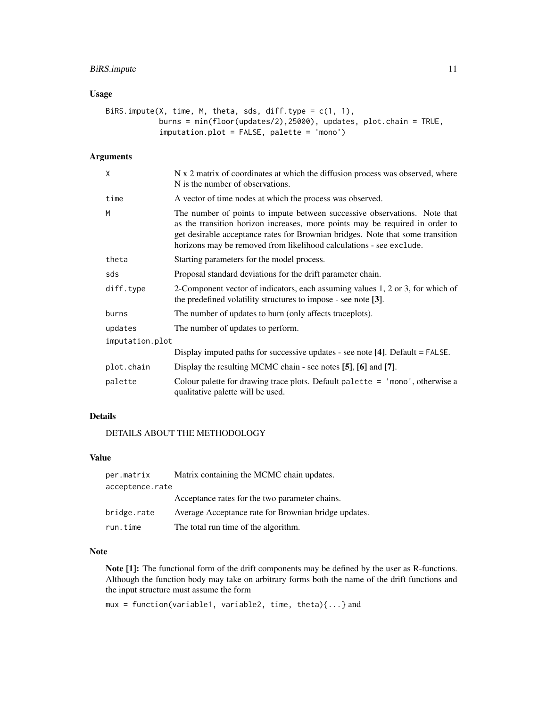## BiRS.impute 11

## Usage

```
BiRS.impute(X, time, M, theta, sds, diff.type = c(1, 1),
            burns = min(floor(updates/2),25000), updates, plot.chain = TRUE,
            imputation.plot = FALSE, palette = 'mono')
```
## Arguments

| χ               | N x 2 matrix of coordinates at which the diffusion process was observed, where<br>N is the number of observations.                                                                                                                                                                                                 |
|-----------------|--------------------------------------------------------------------------------------------------------------------------------------------------------------------------------------------------------------------------------------------------------------------------------------------------------------------|
| time            | A vector of time nodes at which the process was observed.                                                                                                                                                                                                                                                          |
| M               | The number of points to impute between successive observations. Note that<br>as the transition horizon increases, more points may be required in order to<br>get desirable acceptance rates for Brownian bridges. Note that some transition<br>horizons may be removed from likelihood calculations - see exclude. |
| theta           | Starting parameters for the model process.                                                                                                                                                                                                                                                                         |
| sds             | Proposal standard deviations for the drift parameter chain.                                                                                                                                                                                                                                                        |
| diff.type       | 2-Component vector of indicators, each assuming values 1, 2 or 3, for which of<br>the predefined volatility structures to impose - see note [3].                                                                                                                                                                   |
| burns           | The number of updates to burn (only affects traceplots).                                                                                                                                                                                                                                                           |
| updates         | The number of updates to perform.                                                                                                                                                                                                                                                                                  |
| imputation.plot |                                                                                                                                                                                                                                                                                                                    |
|                 | Display imputed paths for successive updates - see note [4]. Default = FALSE.                                                                                                                                                                                                                                      |
| plot.chain      | Display the resulting MCMC chain - see notes [5], [6] and [7].                                                                                                                                                                                                                                                     |
| palette         | Colour palette for drawing trace plots. Default palette = $'$ mono', otherwise a<br>qualitative palette will be used.                                                                                                                                                                                              |

## Details

DETAILS ABOUT THE METHODOLOGY

## Value

| per.matrix      | Matrix containing the MCMC chain updates.            |  |  |  |  |
|-----------------|------------------------------------------------------|--|--|--|--|
| acceptence.rate |                                                      |  |  |  |  |
|                 | Acceptance rates for the two parameter chains.       |  |  |  |  |
| bridge.rate     | Average Acceptance rate for Brownian bridge updates. |  |  |  |  |
| run.time        | The total run time of the algorithm.                 |  |  |  |  |

## Note

Note [1]: The functional form of the drift components may be defined by the user as R-functions. Although the function body may take on arbitrary forms both the name of the drift functions and the input structure must assume the form

mux = function(variable1, variable2, time, theta){...} and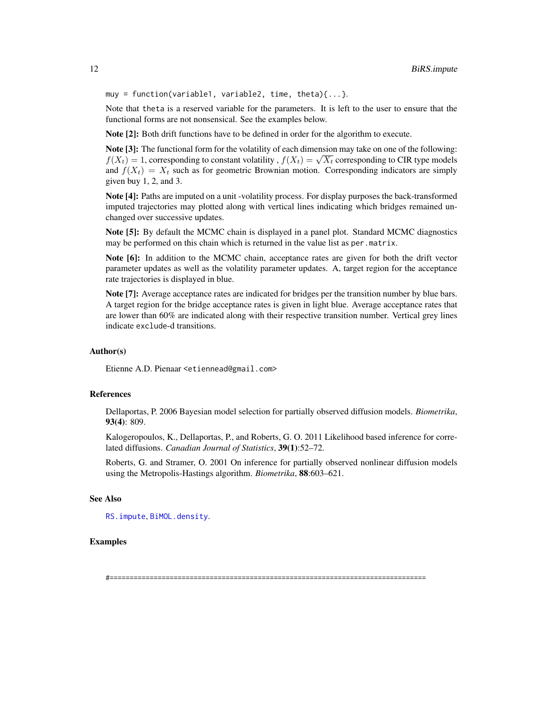<span id="page-11-0"></span>muy = function(variable1, variable2, time, theta){...}.

Note that theta is a reserved variable for the parameters. It is left to the user to ensure that the functional forms are not nonsensical. See the examples below.

Note [2]: Both drift functions have to be defined in order for the algorithm to execute.

Note [3]: The functional form for the volatility of each dimension may take on one of the following: **Figure 13:** The functional form for the volatility of each dimension may take on one of the following:<br> $f(X_t) = 1$ , corresponding to constant volatility ,  $f(X_t) = \sqrt{X_t}$  corresponding to CIR type models and  $f(X_t) = X_t$  such as for geometric Brownian motion. Corresponding indicators are simply given buy 1, 2, and 3.

Note [4]: Paths are imputed on a unit -volatility process. For display purposes the back-transformed imputed trajectories may plotted along with vertical lines indicating which bridges remained unchanged over successive updates.

Note [5]: By default the MCMC chain is displayed in a panel plot. Standard MCMC diagnostics may be performed on this chain which is returned in the value list as per.matrix.

Note [6]: In addition to the MCMC chain, acceptance rates are given for both the drift vector parameter updates as well as the volatility parameter updates. A, target region for the acceptance rate trajectories is displayed in blue.

Note [7]: Average acceptance rates are indicated for bridges per the transition number by blue bars. A target region for the bridge acceptance rates is given in light blue. Average acceptance rates that are lower than 60% are indicated along with their respective transition number. Vertical grey lines indicate exclude-d transitions.

#### Author(s)

Etienne A.D. Pienaar <etiennead@gmail.com>

#### References

Dellaportas, P. 2006 Bayesian model selection for partially observed diffusion models. *Biometrika*, 93(4): 809.

Kalogeropoulos, K., Dellaportas, P., and Roberts, G. O. 2011 Likelihood based inference for correlated diffusions. *Canadian Journal of Statistics*, 39(1):52–72.

Roberts, G. and Stramer, O. 2001 On inference for partially observed nonlinear diffusion models using the Metropolis-Hastings algorithm. *Biometrika*, 88:603–621.

## See Also

[RS.impute](#page-21-1), [BiMOL.density](#page-4-1).

#### Examples

#===============================================================================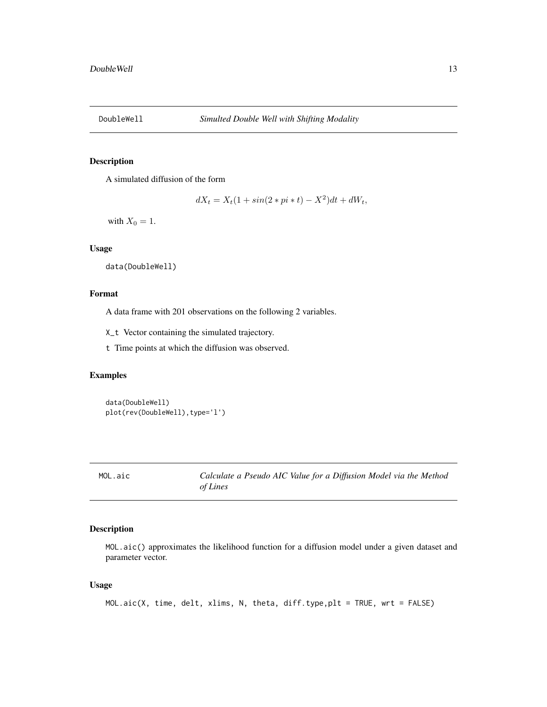<span id="page-12-0"></span>

## Description

A simulated diffusion of the form

 $dX_t = X_t(1 + \sin(2 * pi * t) - X^2)dt + dW_t,$ 

with  $X_0 = 1$ .

## Usage

```
data(DoubleWell)
```
#### Format

A data frame with 201 observations on the following 2 variables.

X\_t Vector containing the simulated trajectory.

t Time points at which the diffusion was observed.

## Examples

data(DoubleWell) plot(rev(DoubleWell),type='l')

<span id="page-12-1"></span>MOL.aic *Calculate a Pseudo AIC Value for a Diffusion Model via the Method of Lines*

## Description

MOL.aic() approximates the likelihood function for a diffusion model under a given dataset and parameter vector.

## Usage

```
MOL.aic(X, time, delt, xlims, N, theta, diff.type,plt = TRUE, wrt = FALSE)
```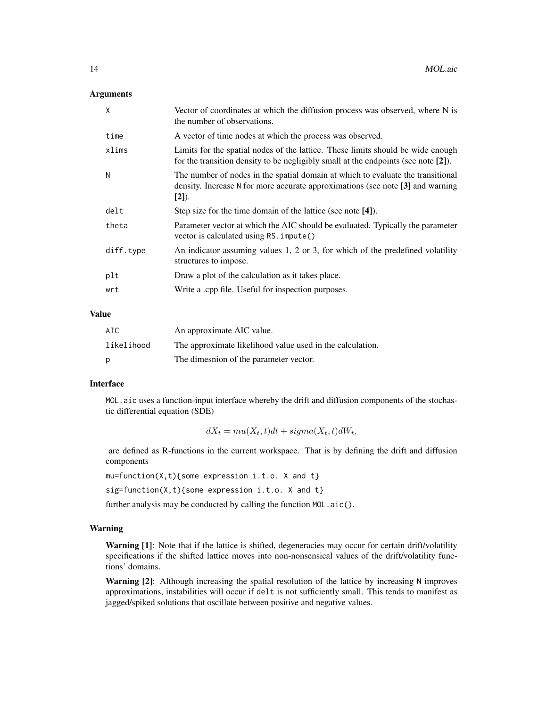#### **Arguments**

| $\mathsf{x}$ | Vector of coordinates at which the diffusion process was observed, where N is<br>the number of observations.                                                                  |
|--------------|-------------------------------------------------------------------------------------------------------------------------------------------------------------------------------|
| time         | A vector of time nodes at which the process was observed.                                                                                                                     |
| xlims        | Limits for the spatial nodes of the lattice. These limits should be wide enough<br>for the transition density to be negligibly small at the endpoints (see note [2]).         |
| N            | The number of nodes in the spatial domain at which to evaluate the transitional<br>density. Increase N for more accurate approximations (see note [3] and warning<br>$[2]$ ). |
| delt         | Step size for the time domain of the lattice (see note [4]).                                                                                                                  |
| theta        | Parameter vector at which the AIC should be evaluated. Typically the parameter<br>vector is calculated using RS. impute()                                                     |
| diff.type    | An indicator assuming values 1, 2 or 3, for which of the predefined volatility<br>structures to impose.                                                                       |
| plt          | Draw a plot of the calculation as it takes place.                                                                                                                             |
| wrt          | Write a .cpp file. Useful for inspection purposes.                                                                                                                            |
|              |                                                                                                                                                                               |

## Value

| AIC        | An approximate AIC value.                                 |
|------------|-----------------------------------------------------------|
| likelihood | The approximate likelihood value used in the calculation. |
| p          | The dimesnion of the parameter vector.                    |

## Interface

MOL.aic uses a function-input interface whereby the drift and diffusion components of the stochastic differential equation (SDE)

$$
dX_t = mu(X_t, t)dt + sigma(X_t, t)dW_t,
$$

are defined as R-functions in the current workspace. That is by defining the drift and diffusion components

```
mu=function(X,t){some expression i.t.o. X and t}
```
sig=function(X,t){some expression i.t.o. X and t}

further analysis may be conducted by calling the function MOL.aic().

#### Warning

Warning [1]: Note that if the lattice is shifted, degeneracies may occur for certain drift/volatility specifications if the shifted lattice moves into non-nonsensical values of the drift/volatility functions' domains.

Warning [2]: Although increasing the spatial resolution of the lattice by increasing N improves approximations, instabilities will occur if delt is not sufficiently small. This tends to manifest as jagged/spiked solutions that oscillate between positive and negative values.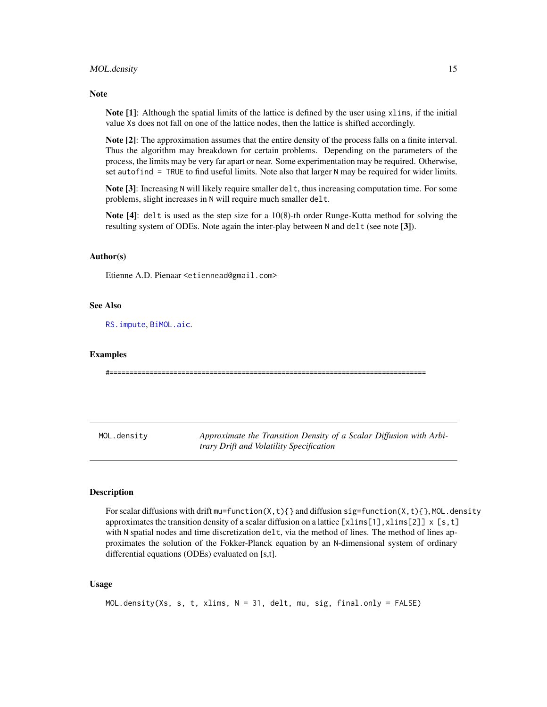#### <span id="page-14-0"></span>MOL.density 15

#### **Note**

Note [1]: Although the spatial limits of the lattice is defined by the user using xlims, if the initial value Xs does not fall on one of the lattice nodes, then the lattice is shifted accordingly.

Note [2]: The approximation assumes that the entire density of the process falls on a finite interval. Thus the algorithm may breakdown for certain problems. Depending on the parameters of the process, the limits may be very far apart or near. Some experimentation may be required. Otherwise, set autofind = TRUE to find useful limits. Note also that larger N may be required for wider limits.

Note [3]: Increasing N will likely require smaller delt, thus increasing computation time. For some problems, slight increases in N will require much smaller delt.

Note [4]: delt is used as the step size for a 10(8)-th order Runge-Kutta method for solving the resulting system of ODEs. Note again the inter-play between N and delt (see note [3]).

#### Author(s)

Etienne A.D. Pienaar <etiennead@gmail.com>

#### See Also

[RS.impute](#page-21-1), [BiMOL.aic](#page-2-1).

#### Examples

#===============================================================================

<span id="page-14-1"></span>MOL.density *Approximate the Transition Density of a Scalar Diffusion with Arbitrary Drift and Volatility Specification*

#### Description

For scalar diffusions with drift mu=function( $X, t$ ){} and diffusion sig=function( $X, t$ ){}, MOL.density approximates the transition density of a scalar diffusion on a lattice  $[x\text{lims}[1],x\text{lims}[2]] \times [s,t]$ with N spatial nodes and time discretization delt, via the method of lines. The method of lines approximates the solution of the Fokker-Planck equation by an N-dimensional system of ordinary differential equations (ODEs) evaluated on [s,t].

#### Usage

```
MOL.density(Xs, s, t, xlims, N = 31, delt, mu, sig, final.only = FALSE)
```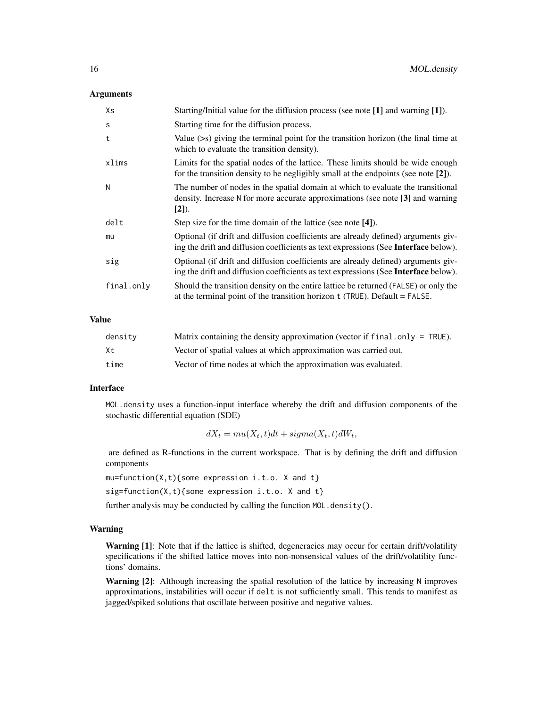#### **Arguments**

| Xs         | Starting/Initial value for the diffusion process (see note [1] and warning [1]).                                                                                              |
|------------|-------------------------------------------------------------------------------------------------------------------------------------------------------------------------------|
| S          | Starting time for the diffusion process.                                                                                                                                      |
| t          | Value $(\geq s)$ giving the terminal point for the transition horizon (the final time at<br>which to evaluate the transition density).                                        |
| xlims      | Limits for the spatial nodes of the lattice. These limits should be wide enough<br>for the transition density to be negligibly small at the endpoints (see note $[2]$ ).      |
| N          | The number of nodes in the spatial domain at which to evaluate the transitional<br>density. Increase N for more accurate approximations (see note [3] and warning<br>$[2]$ ). |
| delt       | Step size for the time domain of the lattice (see note [4]).                                                                                                                  |
| mu         | Optional (if drift and diffusion coefficients are already defined) arguments giv-<br>ing the drift and diffusion coefficients as text expressions (See Interface below).      |
| sig        | Optional (if drift and diffusion coefficients are already defined) arguments giv-<br>ing the drift and diffusion coefficients as text expressions (See Interface below).      |
| final.only | Should the transition density on the entire lattice be returned (FALSE) or only the<br>at the terminal point of the transition horizon $t$ (TRUE). Default = FALSE.           |

## Value

| density | Matrix containing the density approximation (vector if final only = $TRUE$ ). |
|---------|-------------------------------------------------------------------------------|
| Xt      | Vector of spatial values at which approximation was carried out.              |
| time    | Vector of time nodes at which the approximation was evaluated.                |

## Interface

MOL.density uses a function-input interface whereby the drift and diffusion components of the stochastic differential equation (SDE)

$$
dX_t = mu(X_t, t)dt + sigma(X_t, t)dW_t,
$$

are defined as R-functions in the current workspace. That is by defining the drift and diffusion components

```
mu = function(X, t){some expression i.t.o. X and t}
```
sig=function(X,t){some expression i.t.o. X and t}

further analysis may be conducted by calling the function MOL.density().

## Warning

Warning [1]: Note that if the lattice is shifted, degeneracies may occur for certain drift/volatility specifications if the shifted lattice moves into non-nonsensical values of the drift/volatility functions' domains.

Warning [2]: Although increasing the spatial resolution of the lattice by increasing N improves approximations, instabilities will occur if delt is not sufficiently small. This tends to manifest as jagged/spiked solutions that oscillate between positive and negative values.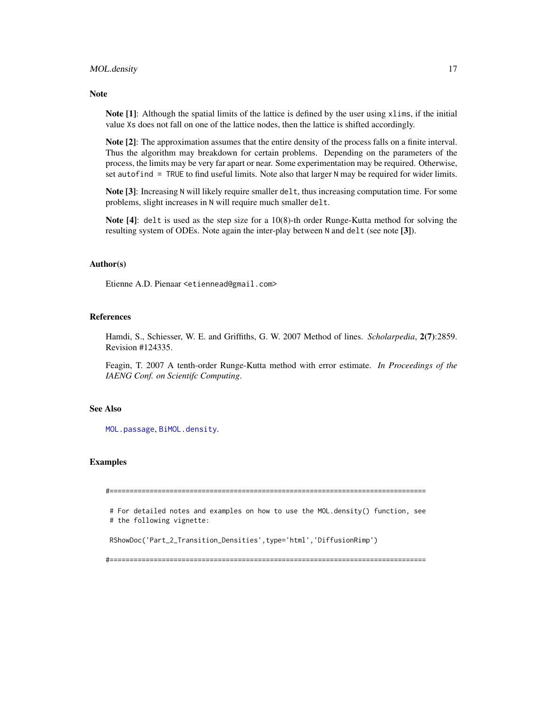#### <span id="page-16-0"></span>MOL.density 17

#### Note

Note [1]: Although the spatial limits of the lattice is defined by the user using xlims, if the initial value Xs does not fall on one of the lattice nodes, then the lattice is shifted accordingly.

Note [2]: The approximation assumes that the entire density of the process falls on a finite interval. Thus the algorithm may breakdown for certain problems. Depending on the parameters of the process, the limits may be very far apart or near. Some experimentation may be required. Otherwise, set autofind  $=$  TRUE to find useful limits. Note also that larger N may be required for wider limits.

Note [3]: Increasing N will likely require smaller delt, thus increasing computation time. For some problems, slight increases in N will require much smaller delt.

Note [4]: delt is used as the step size for a 10(8)-th order Runge-Kutta method for solving the resulting system of ODEs. Note again the inter-play between N and delt (see note [3]).

#### Author(s)

Etienne A.D. Pienaar <etiennead@gmail.com>

#### References

Hamdi, S., Schiesser, W. E. and Griffiths, G. W. 2007 Method of lines. *Scholarpedia*, 2(7):2859. Revision #124335.

Feagin, T. 2007 A tenth-order Runge-Kutta method with error estimate. *In Proceedings of the IAENG Conf. on Scientifc Computing*.

## See Also

[MOL.passage](#page-17-1), [BiMOL.density](#page-4-1).

#### Examples

#===============================================================================

# For detailed notes and examples on how to use the MOL.density() function, see # the following vignette:

RShowDoc('Part\_2\_Transition\_Densities',type='html','DiffusionRimp')

#===============================================================================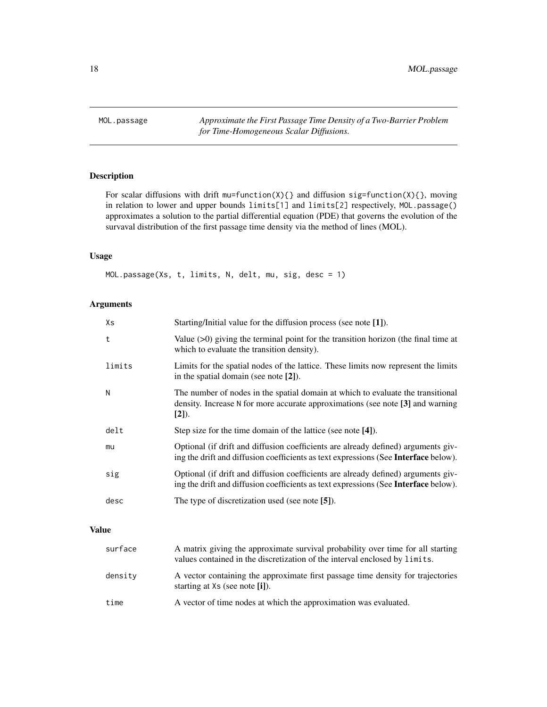<span id="page-17-1"></span><span id="page-17-0"></span>MOL.passage *Approximate the First Passage Time Density of a Two-Barrier Problem for Time-Homogeneous Scalar Diffusions.*

## Description

For scalar diffusions with drift mu=function(X){} and diffusion sig=function(X){}, moving in relation to lower and upper bounds limits[1] and limits[2] respectively, MOL.passage() approximates a solution to the partial differential equation (PDE) that governs the evolution of the survaval distribution of the first passage time density via the method of lines (MOL).

## Usage

MOL.passage(Xs, t, limits, N, delt, mu, sig, desc = 1)

## Arguments

| Xs     | Starting/Initial value for the diffusion process (see note [1]).                                                                                                                |
|--------|---------------------------------------------------------------------------------------------------------------------------------------------------------------------------------|
| t      | Value $(>0)$ giving the terminal point for the transition horizon (the final time at<br>which to evaluate the transition density).                                              |
| limits | Limits for the spatial nodes of the lattice. These limits now represent the limits<br>in the spatial domain (see note $[2]$ ).                                                  |
| N      | The number of nodes in the spatial domain at which to evaluate the transitional<br>density. Increase N for more accurate approximations (see note [3] and warning<br>$[2]$ ).   |
| delt   | Step size for the time domain of the lattice (see note [4]).                                                                                                                    |
| mu     | Optional (if drift and diffusion coefficients are already defined) arguments giv-<br>ing the drift and diffusion coefficients as text expressions (See <b>Interface</b> below). |
| sig    | Optional (if drift and diffusion coefficients are already defined) arguments giv-<br>ing the drift and diffusion coefficients as text expressions (See <b>Interface</b> below). |
| desc   | The type of discretization used (see note [5]).                                                                                                                                 |

## Value

| surface | A matrix giving the approximate survival probability over time for all starting<br>values contained in the discretization of the interval enclosed by limits. |
|---------|---------------------------------------------------------------------------------------------------------------------------------------------------------------|
| density | A vector containing the approximate first passage time density for trajectories<br>starting at Xs (see note [i]).                                             |
| time    | A vector of time nodes at which the approximation was evaluated.                                                                                              |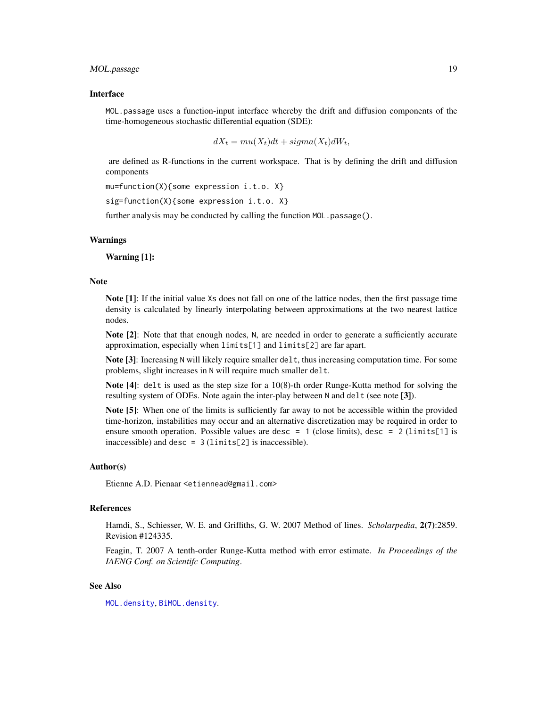## <span id="page-18-0"></span>Interface

MOL.passage uses a function-input interface whereby the drift and diffusion components of the time-homogeneous stochastic differential equation (SDE):

$$
dX_t = mu(X_t)dt + sigma(X_t)dW_t,
$$

are defined as R-functions in the current workspace. That is by defining the drift and diffusion components

```
mu=function(X){some expression i.t.o. X}
```
sig=function(X){some expression i.t.o. X}

further analysis may be conducted by calling the function MOL.passage().

#### Warnings

Warning [1]:

#### **Note**

Note [1]: If the initial value Xs does not fall on one of the lattice nodes, then the first passage time density is calculated by linearly interpolating between approximations at the two nearest lattice nodes.

Note [2]: Note that that enough nodes, N, are needed in order to generate a sufficiently accurate approximation, especially when limits[1] and limits[2] are far apart.

Note [3]: Increasing N will likely require smaller delt, thus increasing computation time. For some problems, slight increases in N will require much smaller delt.

Note [4]: delt is used as the step size for a 10(8)-th order Runge-Kutta method for solving the resulting system of ODEs. Note again the inter-play between N and delt (see note [3]).

Note [5]: When one of the limits is sufficiently far away to not be accessible within the provided time-horizon, instabilities may occur and an alternative discretization may be required in order to ensure smooth operation. Possible values are desc = 1 (close limits), desc = 2 ( $\text{limits}[1]$  is inaccessible) and desc =  $3$  (limits[2] is inaccessible).

#### Author(s)

Etienne A.D. Pienaar <etiennead@gmail.com>

#### References

Hamdi, S., Schiesser, W. E. and Griffiths, G. W. 2007 Method of lines. *Scholarpedia*, 2(7):2859. Revision #124335.

Feagin, T. 2007 A tenth-order Runge-Kutta method with error estimate. *In Proceedings of the IAENG Conf. on Scientifc Computing*.

#### See Also

[MOL.density](#page-14-1), [BiMOL.density](#page-4-1).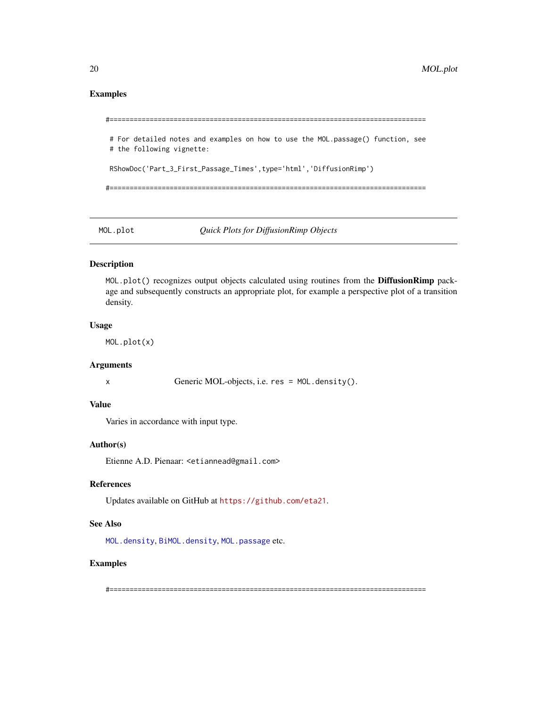## <span id="page-19-0"></span>Examples

```
#===============================================================================
# For detailed notes and examples on how to use the MOL.passage() function, see
# the following vignette:
RShowDoc('Part_3_First_Passage_Times',type='html','DiffusionRimp')
#===============================================================================
```
MOL.plot *Quick Plots for DiffusionRimp Objects*

## Description

MOL.plot() recognizes output objects calculated using routines from the DiffusionRimp package and subsequently constructs an appropriate plot, for example a perspective plot of a transition density.

#### Usage

MOL.plot(x)

## Arguments

x Generic MOL-objects, i.e. res = MOL.density().

#### Value

Varies in accordance with input type.

#### Author(s)

Etienne A.D. Pienaar: <etiannead@gmail.com>

## References

Updates available on GitHub at <https://github.com/eta21>.

#### See Also

[MOL.density](#page-14-1), [BiMOL.density](#page-4-1), [MOL.passage](#page-17-1) etc.

#### Examples

#===============================================================================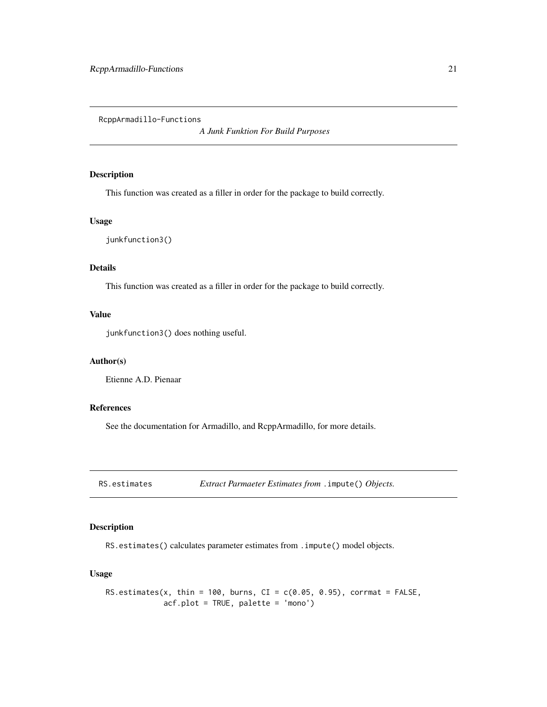<span id="page-20-0"></span>RcppArmadillo-Functions

*A Junk Funktion For Build Purposes*

## Description

This function was created as a filler in order for the package to build correctly.

## Usage

junkfunction3()

## Details

This function was created as a filler in order for the package to build correctly.

## Value

junkfunction3() does nothing useful.

## Author(s)

Etienne A.D. Pienaar

## References

See the documentation for Armadillo, and RcppArmadillo, for more details.

RS.estimates *Extract Parmaeter Estimates from* .impute() *Objects.*

#### Description

RS.estimates() calculates parameter estimates from .impute() model objects.

## Usage

```
RS.estimates(x, thin = 100, burns, CI = c(0.05, 0.95), corrmat = FALSE,
            acf.plot = TRUE, palette = 'mono')
```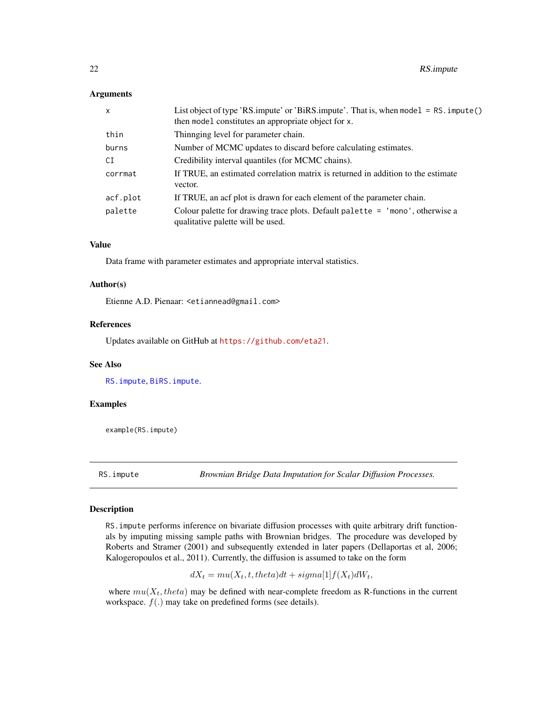#### <span id="page-21-0"></span>Arguments

| $\mathsf{x}$ | List object of type 'RS.impute' or 'BiRS.impute'. That is, when model = RS. impute()<br>then model constitutes an appropriate object for x. |
|--------------|---------------------------------------------------------------------------------------------------------------------------------------------|
| thin         | Thinnging level for parameter chain.                                                                                                        |
| burns        | Number of MCMC updates to discard before calculating estimates.                                                                             |
| CI           | Credibility interval quantiles (for MCMC chains).                                                                                           |
| corrmat      | If TRUE, an estimated correlation matrix is returned in addition to the estimate<br>vector.                                                 |
| acf.plot     | If TRUE, an acf plot is drawn for each element of the parameter chain.                                                                      |
| palette      | Colour palette for drawing trace plots. Default palette $=$ 'mono', otherwise a<br>qualitative palette will be used.                        |

## Value

Data frame with parameter estimates and appropriate interval statistics.

#### Author(s)

Etienne A.D. Pienaar: <etiannead@gmail.com>

#### References

Updates available on GitHub at <https://github.com/eta21>.

## See Also

[RS.impute](#page-21-1), [BiRS.impute](#page-9-1).

## Examples

example(RS.impute)

<span id="page-21-1"></span>RS.impute *Brownian Bridge Data Imputation for Scalar Diffusion Processes.*

#### Description

RS.impute performs inference on bivariate diffusion processes with quite arbitrary drift functionals by imputing missing sample paths with Brownian bridges. The procedure was developed by Roberts and Stramer (2001) and subsequently extended in later papers (Dellaportas et al, 2006; Kalogeropoulos et al., 2011). Currently, the diffusion is assumed to take on the form

$$
dX_t = mu(X_t, t, theta)dt + sigma[1]f(X_t)dW_t,
$$

where  $mu(X_t, theta)$  may be defined with near-complete freedom as R-functions in the current workspace.  $f(.)$  may take on predefined forms (see details).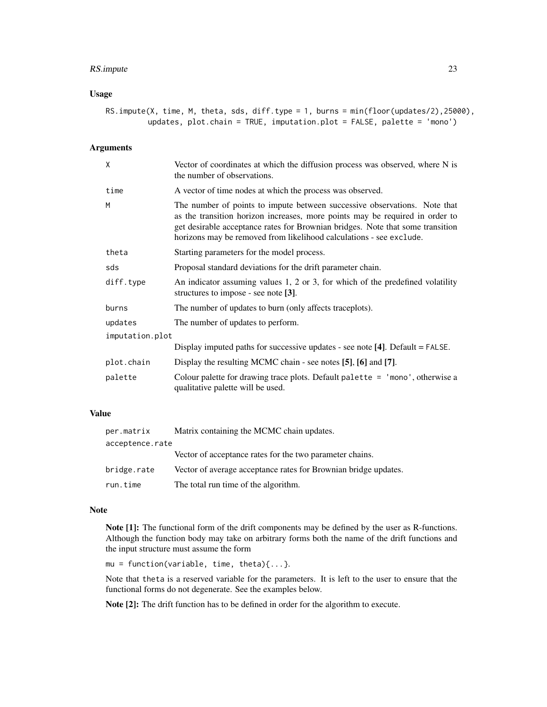## RS.impute 23

## Usage

| RS.impute(X, time, M, theta, sds, diff.type = 1, burns = min(floor(updates/2),25000), |  |  |  |  |  |                                                                            |  |  |
|---------------------------------------------------------------------------------------|--|--|--|--|--|----------------------------------------------------------------------------|--|--|
|                                                                                       |  |  |  |  |  | updates, $plot. chain = TRUE, imputation. plot = FALSE, platete = 'mono')$ |  |  |

## Arguments

| X               | Vector of coordinates at which the diffusion process was observed, where N is<br>the number of observations.                                                                                                                                                                                                       |
|-----------------|--------------------------------------------------------------------------------------------------------------------------------------------------------------------------------------------------------------------------------------------------------------------------------------------------------------------|
| time            | A vector of time nodes at which the process was observed.                                                                                                                                                                                                                                                          |
| M               | The number of points to impute between successive observations. Note that<br>as the transition horizon increases, more points may be required in order to<br>get desirable acceptance rates for Brownian bridges. Note that some transition<br>horizons may be removed from likelihood calculations - see exclude. |
| theta           | Starting parameters for the model process.                                                                                                                                                                                                                                                                         |
| sds             | Proposal standard deviations for the drift parameter chain.                                                                                                                                                                                                                                                        |
| diff.type       | An indicator assuming values 1, 2 or 3, for which of the predefined volatility<br>structures to impose - see note $[3]$ .                                                                                                                                                                                          |
| burns           | The number of updates to burn (only affects traceplots).                                                                                                                                                                                                                                                           |
| updates         | The number of updates to perform.                                                                                                                                                                                                                                                                                  |
| imputation.plot |                                                                                                                                                                                                                                                                                                                    |
|                 | Display imputed paths for successive updates - see note [4]. Default = FALSE.                                                                                                                                                                                                                                      |
| plot.chain      | Display the resulting MCMC chain - see notes [5], [6] and [7].                                                                                                                                                                                                                                                     |
| palette         | Colour palette for drawing trace plots. Default palette $=$ 'mono', otherwise a<br>qualitative palette will be used.                                                                                                                                                                                               |

## Value

| per.matrix      | Matrix containing the MCMC chain updates.                       |  |  |  |
|-----------------|-----------------------------------------------------------------|--|--|--|
| acceptence.rate |                                                                 |  |  |  |
|                 | Vector of acceptance rates for the two parameter chains.        |  |  |  |
| bridge.rate     | Vector of average acceptance rates for Brownian bridge updates. |  |  |  |
| run.time        | The total run time of the algorithm.                            |  |  |  |

#### Note

Note [1]: The functional form of the drift components may be defined by the user as R-functions. Although the function body may take on arbitrary forms both the name of the drift functions and the input structure must assume the form

 $mu = function(variable, time, theta){...}.$ 

Note that theta is a reserved variable for the parameters. It is left to the user to ensure that the functional forms do not degenerate. See the examples below.

Note [2]: The drift function has to be defined in order for the algorithm to execute.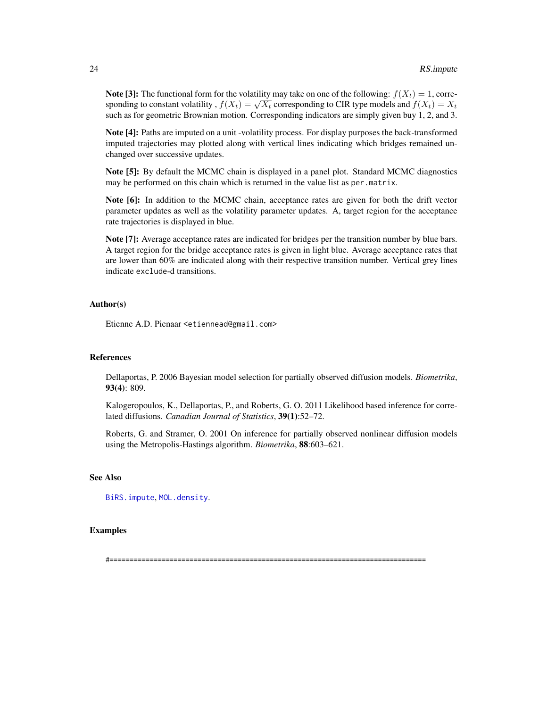<span id="page-23-0"></span>**Note [3]:** The functional form for the volatility may take on one of the following:  $f(X_t) = 1$ , corre-**Sponding to constant volatility**,  $f(X_t) = \sqrt{X_t}$  corresponding to CIR type models and  $f(X_t) = X_t$  corresponding to CIR type models and  $f(X_t) = X_t$ such as for geometric Brownian motion. Corresponding indicators are simply given buy 1, 2, and 3.

Note [4]: Paths are imputed on a unit -volatility process. For display purposes the back-transformed imputed trajectories may plotted along with vertical lines indicating which bridges remained unchanged over successive updates.

Note [5]: By default the MCMC chain is displayed in a panel plot. Standard MCMC diagnostics may be performed on this chain which is returned in the value list as per.matrix.

Note [6]: In addition to the MCMC chain, acceptance rates are given for both the drift vector parameter updates as well as the volatility parameter updates. A, target region for the acceptance rate trajectories is displayed in blue.

Note [7]: Average acceptance rates are indicated for bridges per the transition number by blue bars. A target region for the bridge acceptance rates is given in light blue. Average acceptance rates that are lower than 60% are indicated along with their respective transition number. Vertical grey lines indicate exclude-d transitions.

## Author(s)

Etienne A.D. Pienaar <etiennead@gmail.com>

#### References

Dellaportas, P. 2006 Bayesian model selection for partially observed diffusion models. *Biometrika*, 93(4): 809.

Kalogeropoulos, K., Dellaportas, P., and Roberts, G. O. 2011 Likelihood based inference for correlated diffusions. *Canadian Journal of Statistics*, 39(1):52–72.

Roberts, G. and Stramer, O. 2001 On inference for partially observed nonlinear diffusion models using the Metropolis-Hastings algorithm. *Biometrika*, 88:603–621.

## See Also

[BiRS.impute](#page-9-1), [MOL.density](#page-14-1).

## Examples

#===============================================================================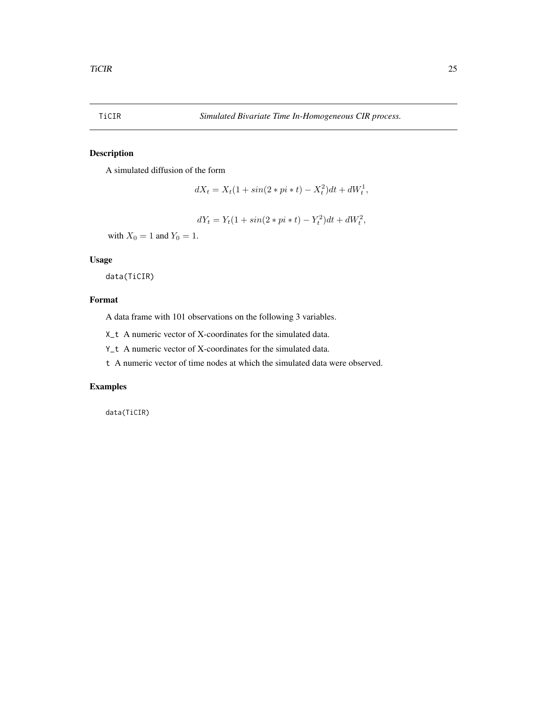<span id="page-24-0"></span>

## Description

A simulated diffusion of the form

$$
dX_t = X_t(1 + \sin(2 \cdot \pi \cdot t) - X_t^2)dt + dW_t^1,
$$

 $dY_t = Y_t(1 + \sin(2 * pi * t) - Y_t^2)dt + dW_t^2,$ 

with  $X_0 = 1$  and  $Y_0 = 1$ .

## Usage

data(TiCIR)

## Format

A data frame with 101 observations on the following 3 variables.

X\_t A numeric vector of X-coordinates for the simulated data.

Y\_t A numeric vector of X-coordinates for the simulated data.

t A numeric vector of time nodes at which the simulated data were observed.

#### Examples

data(TiCIR)